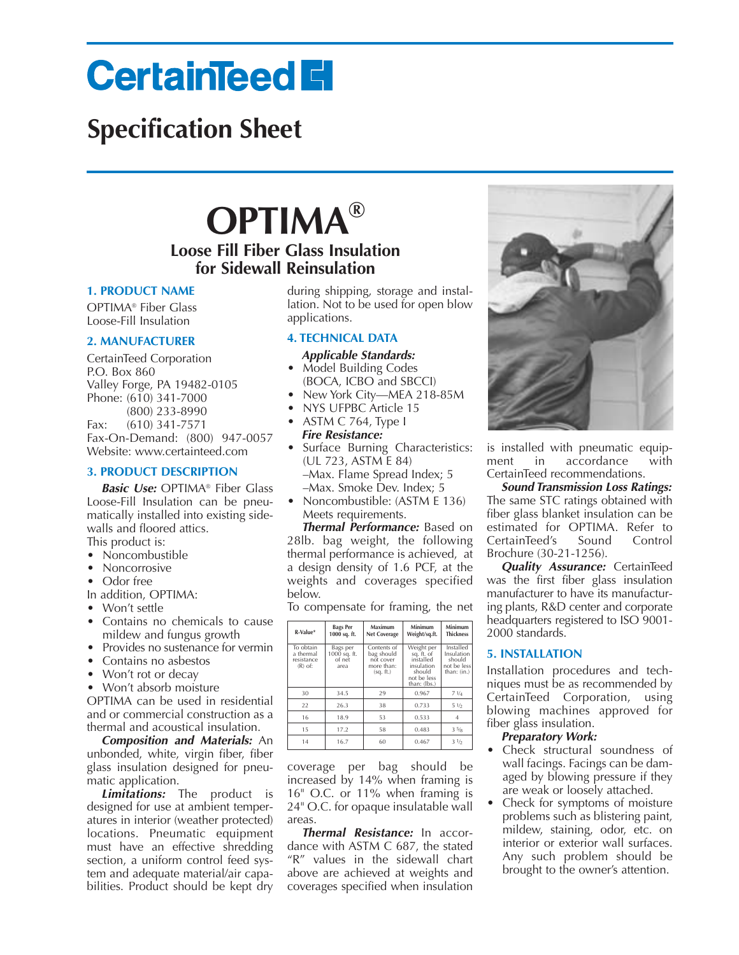# **CertainTeed El**

# **Specification Sheet**

# **OPTIMA® Loose Fill Fiber Glass Insulation**

# **for Sidewall Reinsulation**

## **1. PRODUCT NAME**

OPTIMA® Fiber Glass Loose-Fill Insulation

# **2. MANUFACTURER**

CertainTeed Corporation P.O. Box 860 Valley Forge, PA 19482-0105 Phone: (610) 341-7000 (800) 233-8990 Fax: (610) 341-7571 Fax-On-Demand: (800) 947-0057 Website: www.certainteed.com

# **3. PRODUCT DESCRIPTION**

*Basic Use:* OPTIMA® Fiber Glass Loose-Fill Insulation can be pneumatically installed into existing sidewalls and floored attics. This product is:

- Noncombustible
- Noncorrosive
- Odor free
- In addition, OPTIMA:
- Won't settle
- Contains no chemicals to cause mildew and fungus growth
- Provides no sustenance for vermin
- Contains no asbestos
- Won't rot or decay

• Won't absorb moisture OPTIMA can be used in residential and or commercial construction as a thermal and acoustical insulation.

*Composition and Materials:* An unbonded, white, virgin fiber, fiber glass insulation designed for pneumatic application.

*Limitations:* The product is designed for use at ambient temperatures in interior (weather protected) locations. Pneumatic equipment must have an effective shredding section, a uniform control feed system and adequate material/air capabilities. Product should be kept dry

during shipping, storage and installation. Not to be used for open blow applications.

# **4. TECHNICAL DATA**

#### *Applicable Standards:* • Model Building Codes

- (BOCA, ICBO and SBCCI)
- New York City—MEA 218-85M
- NYS UFPBC Article 15
- ASTM C 764, Type I *Fire Resistance:*
- Surface Burning Characteristics: (UL 723, ASTM E 84) –Max. Flame Spread Index; 5 –Max. Smoke Dev. Index; 5
- Noncombustible: (ASTM E 136) Meets requirements.

*Thermal Performance:* Based on 28lb. bag weight, the following thermal performance is achieved, at a design density of 1.6 PCF, at the weights and coverages specified below.

To compensate for framing, the net

| R-Value*                                          | <b>Bags Per</b><br>1000 sq. ft.            | Maximum<br><b>Net Coverage</b>                                    | Minimum<br>Weight/sq.ft.                                                                     | Minimum<br><b>Thickness</b>                                     |
|---------------------------------------------------|--------------------------------------------|-------------------------------------------------------------------|----------------------------------------------------------------------------------------------|-----------------------------------------------------------------|
| To obtain<br>a thermal<br>resistance<br>$(R)$ of: | Bags per<br>1000 sq. ft.<br>of net<br>area | Contents of<br>bag should<br>not cover<br>more than:<br>(sq. ft.) | Weight per<br>sq. ft. of<br>installed<br>insulation<br>should<br>not be less<br>than: (lbs.) | Installed<br>Insulation<br>should<br>not be less<br>than: (in.) |
| 30                                                | 34.5                                       | 29                                                                | 0.967                                                                                        | 71/4                                                            |
| 22                                                | 26.3                                       | 38                                                                | 0.733                                                                                        | 51/2                                                            |
| 16                                                | 18.9                                       | 53                                                                | 0.533                                                                                        | 4                                                               |
| 15                                                | 17.2                                       | 58                                                                | 0.483                                                                                        | 3.5/8                                                           |
| 14                                                | 16.7                                       | 60                                                                | 0.467                                                                                        | 31/2                                                            |

coverage per bag should be increased by 14% when framing is 16" O.C. or 11% when framing is 24" O.C. for opaque insulatable wall areas.

*Thermal Resistance:* In accordance with ASTM C 687, the stated "R" values in the sidewall chart above are achieved at weights and coverages specified when insulation



is installed with pneumatic equipment in accordance with CertainTeed recommendations.

*Sound Transmission Loss Ratings:* The same STC ratings obtained with fiber glass blanket insulation can be estimated for OPTIMA. Refer to CertainTeed's Sound Control Brochure (30-21-1256).

*Quality Assurance:* CertainTeed was the first fiber glass insulation manufacturer to have its manufacturing plants, R&D center and corporate headquarters registered to ISO 9001- 2000 standards.

### **5. INSTALLATION**

Installation procedures and techniques must be as recommended by CertainTeed Corporation, using blowing machines approved for fiber glass insulation.

### *Preparatory Work:*

- Check structural soundness of wall facings. Facings can be damaged by blowing pressure if they are weak or loosely attached.
- Check for symptoms of moisture problems such as blistering paint, mildew, staining, odor, etc. on interior or exterior wall surfaces. Any such problem should be brought to the owner's attention.